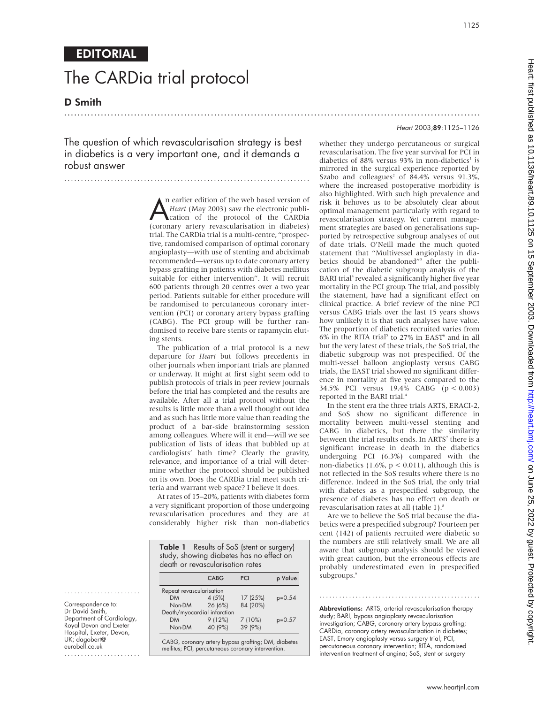1125

## EDITORIAL

# The CARDia trial protocol

D Smith

The question of which revascularisation strategy is best in diabetics is a very important one, and it demands a robust answer

..........................................................................

**A** n earlier edition of the web based version of *Heart* (May 2003) saw the electronic publi-<br>cation of the protocol of the CARDia<br>(coronary artery revascularisation in diabetes) n earlier edition of the web based version of *Heart* (May 2003) saw the electronic publication of the protocol of the CARDia trial. The CARDia trial is a multi-centre, "prospective, randomised comparison of optimal coronary angioplasty—with use of stenting and abciximab recommended—versus up to date coronary artery bypass grafting in patients with diabetes mellitus suitable for either intervention". It will recruit 600 patients through 20 centres over a two year period. Patients suitable for either procedure will be randomised to percutaneous coronary intervention (PCI) or coronary artery bypass grafting (CABG). The PCI group will be further randomised to receive bare stents or rapamycin eluting stents.

The publication of a trial protocol is a new departure for *Heart* but follows precedents in other journals when important trials are planned or underway. It might at first sight seem odd to publish protocols of trials in peer review journals before the trial has completed and the results are available. After all a trial protocol without the results is little more than a well thought out idea and as such has little more value than reading the product of a bar-side brainstorming session among colleagues. Where will it end—will we see publication of lists of ideas that bubbled up at cardiologists' bath time? Clearly the gravity, relevance, and importance of a trial will determine whether the protocol should be published on its own. Does the CARDia trial meet such criteria and warrant web space? I believe it does.

At rates of 15–20%, patients with diabetes form a very significant proportion of those undergoing revascularisation procedures and they are at considerably higher risk than non-diabetics

| study, showing diabetes has no effect on<br>death or revascularisation rates |         |          |          |
|------------------------------------------------------------------------------|---------|----------|----------|
|                                                                              | CABG    | PCI      | p Value  |
| Repeat revascularisation                                                     |         |          |          |
| DM <sub>2</sub>                                                              | 4(5%)   | 17 (25%) | $p=0.54$ |
| Non-DM                                                                       | 26 (6%) | 84 (20%) |          |
| Death/myocardial infarction                                                  |         |          |          |
| <b>DM</b>                                                                    | 9(12%)  | 7(10%)   | $p=0.57$ |
| Non-DM                                                                       | 40 (9%) | 39 (9%)  |          |

# .............................................................................................................................

Heart 2003;89:1125–1126

whether they undergo percutaneous or surgical revascularisation. The five year survival for PCI in diabetics of 88% versus 93% in non-diabetics<sup>1</sup> is mirrored in the surgical experience reported by Szabo and colleagues<sup>2</sup> of  $84.4\%$  versus 91.3%, where the increased postoperative morbidity is also highlighted. With such high prevalence and risk it behoves us to be absolutely clear about optimal management particularly with regard to revascularisation strategy. Yet current management strategies are based on generalisations supported by retrospective subgroup analyses of out of date trials. O'Neill made the much quoted statement that "Multivessel angioplasty in diabetics should be abandoned"<sup>3</sup> after the publication of the diabetic subgroup analysis of the BARI trial<sup>4</sup> revealed a significantly higher five year mortality in the PCI group. The trial, and possibly the statement, have had a significant effect on clinical practice. A brief review of the nine PCI versus CABG trials over the last 15 years shows how unlikely it is that such analyses have value. The proportion of diabetics recruited varies from 6% in the RITA trial<sup>5</sup> to 27% in EAST<sup>6</sup> and in all but the very latest of these trials, the SoS trial, the diabetic subgroup was not prespecified. Of the multi-vessel balloon angioplasty versus CABG trials, the EAST trial showed no significant difference in mortality at five years compared to the 34.5% PCI versus 19.4% CABG (p < 0.003) reported in the BARI trial.<sup>4</sup>

In the stent era the three trials ARTS, ERACI-2, and SoS show no significant difference in mortality between multi-vessel stenting and CABG in diabetics, but there the similarity between the trial results ends. In ARTS<sup>7</sup> there is a significant increase in death in the diabetics undergoing PCI (6.3%) compared with the non-diabetics  $(1.6\%, p < 0.011)$ , although this is not reflected in the SoS results where there is no difference. Indeed in the SoS trial, the only trial with diabetes as a prespecified subgroup, the presence of diabetes has no effect on death or revascularisation rates at all (table 1).<sup>8</sup>

Are we to believe the SoS trial because the diabetics were a prespecified subgroup? Fourteen per cent (142) of patients recruited were diabetic so the numbers are still relatively small. We are all aware that subgroup analysis should be viewed with great caution, but the erroneous effects are probably underestimated even in prespecified subgroups.<sup>9</sup>

Abbreviations: ARTS, arterial revascularisation therapy study; BARI, bypass angioplasty revascularisation investigation; CABG, coronary artery bypass grafting; CARDia, coronary artery revascularisation in diabetes; EAST, Emory angioplasty versus surgery trial; PCI, percutaneous coronary intervention; RITA, randomised intervention treatment of angina; SoS, stent or surgery

.................................................

Correspondence to: Dr David Smith, Department of Cardiology, Royal Devon and Exeter Hospital, Exeter, Devon, UK; dagobert@ eurobell.co.uk

.......................

.......................